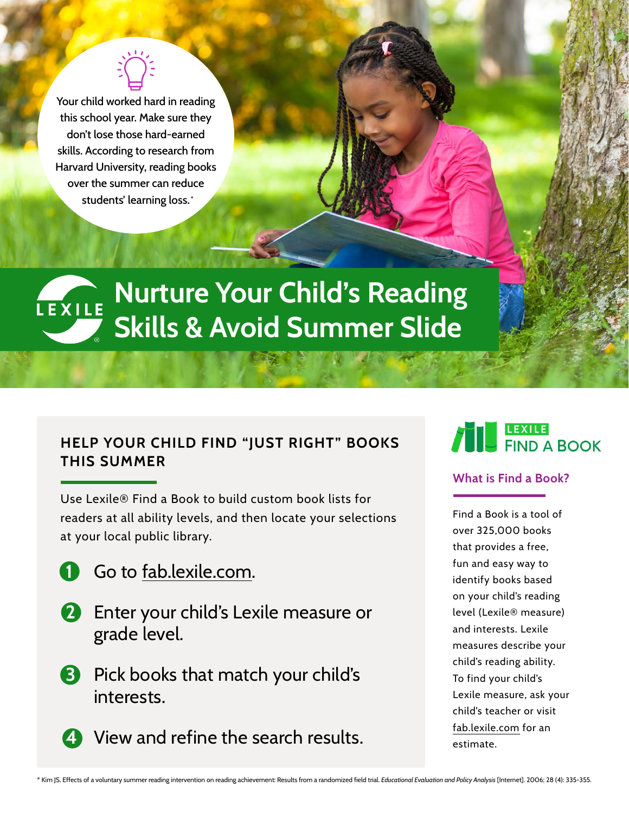\* students' learning loss. Your child worked hard in reading this school year. Make sure they don't lose those hard-earned skills. According to research from Harvard University, reading books over the summer can reduce

# **Nurture Your Child's Reading Skills & Avoid Summer Slide**

## **HELP YOUR CHILD FIND "JUST RIGHT" BOOKS THIS SUMMER**

Use Lexile® Find a Book to build custom book lists for readers at all ability levels, and then locate your selections at your local public library.

- **1** Go to [fab.lexile.com](http://fab.lexile.com).
- **2** Enter your child's Lexile measure or grade level.
- **3** Pick books that match your child's interests.
- **4** View and refine the search results.



#### **What is Find a Book?**

Find a Book is a tool of over 325,000 books that provides a free, fun and easy way to identify books based on your child's reading level (Lexile® measure) and interests. Lexile measures describe your child's reading ability. To find your child's Lexile measure, ask your child's teacher or visit [fab.lexile.com](http://fab.lexile.com) for an estimate.